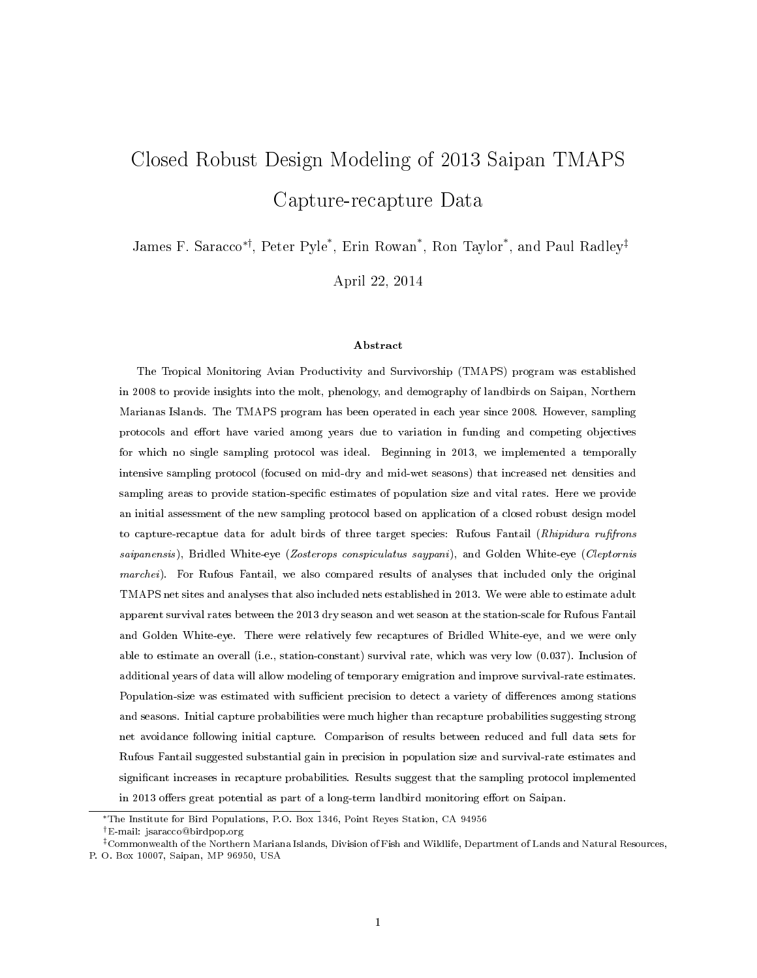# Closed Robust Design Modeling of 2013 Saipan TMAPS Capture-recapture Data

James F. Saracco∗†, Peter Pyle\* , Erin Rowan\* , Ron Taylor\* , and Paul Radley‡

April 22, 2014

#### Abstract

The Tropical Monitoring Avian Productivity and Survivorship (TMAPS) program was established in 2008 to provide insights into the molt, phenology, and demography of landbirds on Saipan, Northern Marianas Islands. The TMAPS program has been operated in each year since 2008. However, sampling protocols and effort have varied among years due to variation in funding and competing objectives for which no single sampling protocol was ideal. Beginning in 2013, we implemented a temporally intensive sampling protocol (focused on mid-dry and mid-wet seasons) that increased net densities and sampling areas to provide station-specific estimates of population size and vital rates. Here we provide an initial assessment of the new sampling protocol based on application of a closed robust design model to capture-recaptue data for adult birds of three target species: Rufous Fantail (Rhipidura rufifrons saipanensis), Bridled White-eye (Zosterops conspiculatus saypani), and Golden White-eye (Cleptornis marchei). For Rufous Fantail, we also compared results of analyses that included only the original TMAPS net sites and analyses that also included nets established in 2013. We were able to estimate adult apparent survival rates between the 2013 dry season and wet season at the station-scale for Rufous Fantail and Golden White-eye. There were relatively few recaptures of Bridled White-eye, and we were only able to estimate an overall (i.e., station-constant) survival rate, which was very low (0.037). Inclusion of additional years of data will allow modeling of temporary emigration and improve survival-rate estimates. Population-size was estimated with sufficient precision to detect a variety of differences among stations and seasons. Initial capture probabilities were much higher than recapture probabilities suggesting strong net avoidance following initial capture. Comparison of results between reduced and full data sets for Rufous Fantail suggested substantial gain in precision in population size and survival-rate estimates and signicant increases in recapture probabilities. Results suggest that the sampling protocol implemented in 2013 offers great potential as part of a long-term landbird monitoring effort on Saipan.

<sup>∗</sup>The Institute for Bird Populations, P.O. Box 1346, Point Reyes Station, CA 94956

<sup>†</sup>E-mail: jsaracco@birdpop.org

<sup>‡</sup>Commonwealth of the Northern Mariana Islands, Division of Fish and Wildlife, Department of Lands and Natural Resources, P. O. Box 10007, Saipan, MP 96950, USA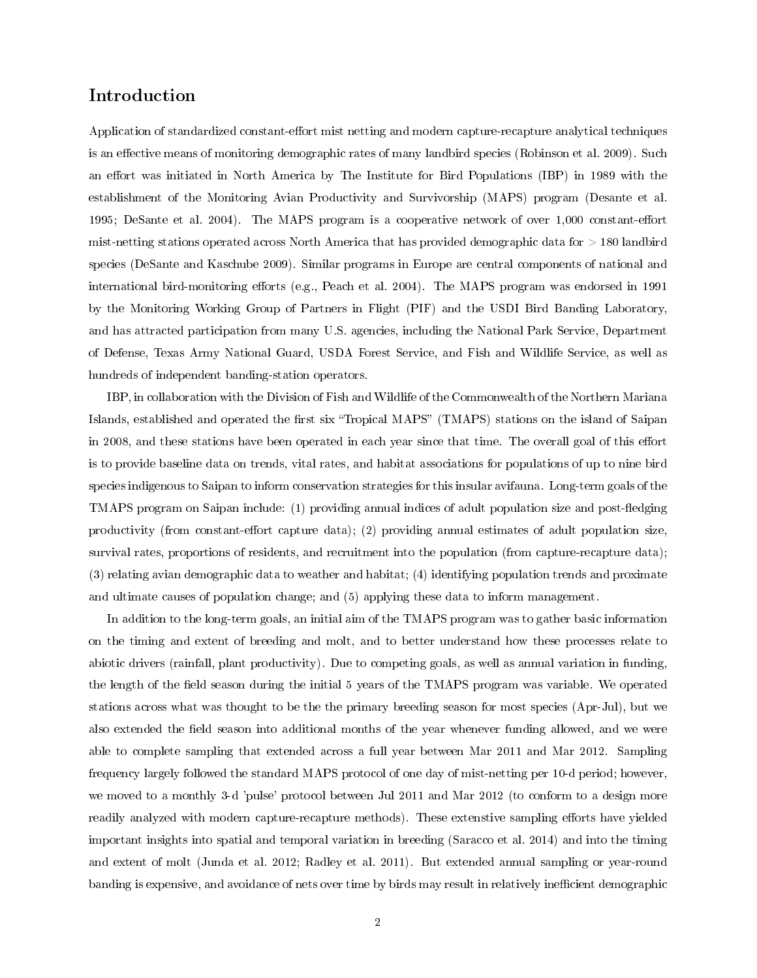## Introduction

Application of standardized constant-effort mist netting and modern capture-recapture analytical techniques is an effective means of monitoring demographic rates of many landbird species (Robinson et al. 2009). Such an effort was initiated in North America by The Institute for Bird Populations (IBP) in 1989 with the establishment of the Monitoring Avian Productivity and Survivorship (MAPS) program (Desante et al. 1995; DeSante et al. 2004). The MAPS program is a cooperative network of over  $1,000$  constant-effort mist-netting stations operated across North America that has provided demographic data for > 180 landbird species (DeSante and Kaschube 2009). Similar programs in Europe are central components of national and international bird-monitoring efforts (e.g., Peach et al. 2004). The MAPS program was endorsed in 1991 by the Monitoring Working Group of Partners in Flight (PIF) and the USDI Bird Banding Laboratory, and has attracted participation from many U.S. agencies, including the National Park Service, Department of Defense, Texas Army National Guard, USDA Forest Service, and Fish and Wildlife Service, as well as hundreds of independent banding-station operators.

IBP, in collaboration with the Division of Fish and Wildlife of the Commonwealth of the Northern Mariana Islands, established and operated the first six "Tropical MAPS" (TMAPS) stations on the island of Saipan in 2008, and these stations have been operated in each year since that time. The overall goal of this effort is to provide baseline data on trends, vital rates, and habitat associations for populations of up to nine bird species indigenous to Saipan to inform conservation strategies for this insular avifauna. Long-term goals of the TMAPS program on Saipan include: (1) providing annual indices of adult population size and post-fledging productivity (from constant-effort capture data); (2) providing annual estimates of adult population size, survival rates, proportions of residents, and recruitment into the population (from capture-recapture data); (3) relating avian demographic data to weather and habitat; (4) identifying population trends and proximate and ultimate causes of population change; and (5) applying these data to inform management.

In addition to the long-term goals, an initial aim of the TMAPS program was to gather basic information on the timing and extent of breeding and molt, and to better understand how these processes relate to abiotic drivers (rainfall, plant productivity). Due to competing goals, as well as annual variation in funding, the length of the field season during the initial 5 years of the TMAPS program was variable. We operated stations across what was thought to be the the primary breeding season for most species (Apr-Jul), but we also extended the field season into additional months of the year whenever funding allowed, and we were able to complete sampling that extended across a full year between Mar 2011 and Mar 2012. Sampling frequency largely followed the standard MAPS protocol of one day of mist-netting per 10-d period; however, we moved to a monthly 3-d 'pulse' protocol between Jul 2011 and Mar 2012 (to conform to a design more readily analyzed with modern capture-recapture methods). These extenstive sampling efforts have yielded important insights into spatial and temporal variation in breeding (Saracco et al. 2014) and into the timing and extent of molt (Junda et al. 2012; Radley et al. 2011). But extended annual sampling or year-round banding is expensive, and avoidance of nets over time by birds may result in relatively inefficient demographic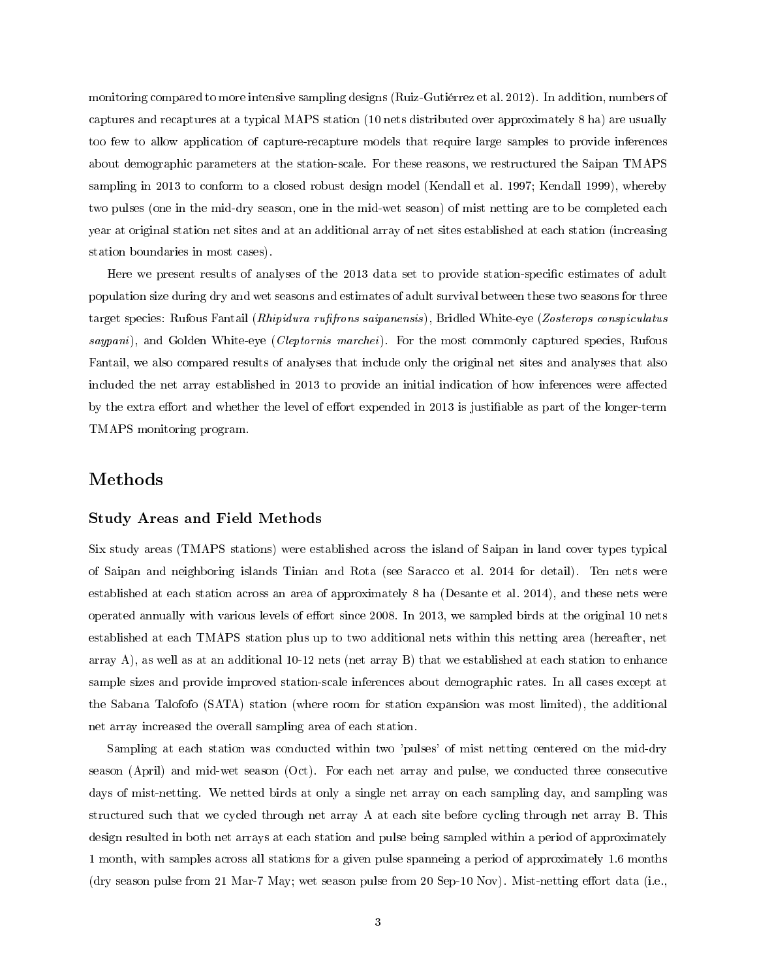monitoring compared to more intensive sampling designs (Ruiz-Gutiérrez et al. 2012). In addition, numbers of captures and recaptures at a typical MAPS station (10 nets distributed over approximately 8 ha) are usually too few to allow application of capture-recapture models that require large samples to provide inferences about demographic parameters at the station-scale. For these reasons, we restructured the Saipan TMAPS sampling in 2013 to conform to a closed robust design model (Kendall et al. 1997; Kendall 1999), whereby two pulses (one in the mid-dry season, one in the mid-wet season) of mist netting are to be completed each year at original station net sites and at an additional array of net sites established at each station (increasing station boundaries in most cases).

Here we present results of analyses of the 2013 data set to provide station-specific estimates of adult population size during dry and wet seasons and estimates of adult survival between these two seasons for three target species: Rufous Fantail (Rhipidura rufifrons saipanensis), Bridled White-eye (Zosterops conspiculatus saypani), and Golden White-eye (Cleptornis marchei). For the most commonly captured species, Rufous Fantail, we also compared results of analyses that include only the original net sites and analyses that also included the net array established in 2013 to provide an initial indication of how inferences were affected by the extra effort and whether the level of effort expended in 2013 is justifiable as part of the longer-term TMAPS monitoring program.

## Methods

### Study Areas and Field Methods

Six study areas (TMAPS stations) were established across the island of Saipan in land cover types typical of Saipan and neighboring islands Tinian and Rota (see Saracco et al. 2014 for detail). Ten nets were established at each station across an area of approximately 8 ha (Desante et al. 2014), and these nets were operated annually with various levels of effort since 2008. In 2013, we sampled birds at the original 10 nets established at each TMAPS station plus up to two additional nets within this netting area (hereafter, net array A), as well as at an additional 10-12 nets (net array B) that we established at each station to enhance sample sizes and provide improved station-scale inferences about demographic rates. In all cases except at the Sabana Talofofo (SATA) station (where room for station expansion was most limited), the additional net array increased the overall sampling area of each station.

Sampling at each station was conducted within two 'pulses' of mist netting centered on the mid-dry season (April) and mid-wet season (Oct). For each net array and pulse, we conducted three consecutive days of mist-netting. We netted birds at only a single net array on each sampling day, and sampling was structured such that we cycled through net array A at each site before cycling through net array B. This design resulted in both net arrays at each station and pulse being sampled within a period of approximately 1 month, with samples across all stations for a given pulse spanneing a period of approximately 1.6 months (dry season pulse from 21 Mar-7 May; wet season pulse from 20 Sep-10 Nov). Mist-netting effort data (i.e.,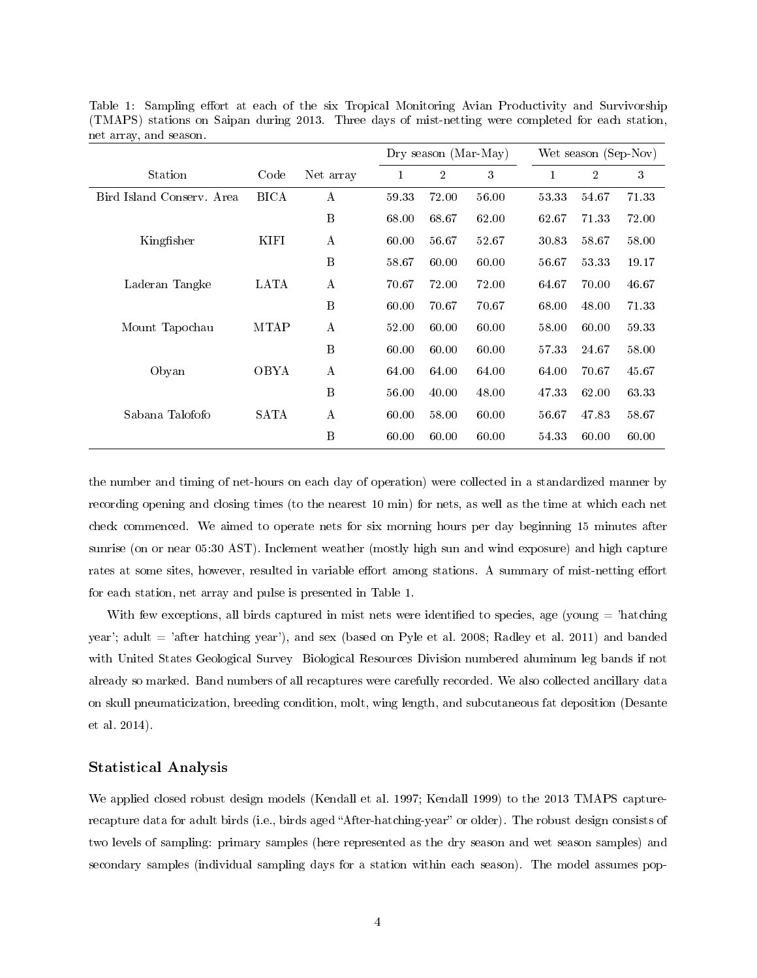|                           |             |                        |       | Dry season (Mar-May) |       |       | Wet season (Sep-Nov) |       |  |
|---------------------------|-------------|------------------------|-------|----------------------|-------|-------|----------------------|-------|--|
| Station                   | Code        | Net array              | 1     | $\overline{2}$       | 3     |       | $\overline{2}$       | 3     |  |
| Bird Island Conserv. Area | <b>BICA</b> | A                      | 59.33 | 72.00                | 56.00 | 53.33 | 54.67                | 71.33 |  |
|                           |             | $\bf{B}$               | 68.00 | 68.67                | 62.00 | 62.67 | 71.33                | 72.00 |  |
| Kingfisher                | KIFI        | А                      | 60.00 | 56.67                | 52.67 | 30.83 | 58.67                | 58.00 |  |
|                           |             | B                      | 58.67 | 60.00                | 60.00 | 56.67 | 53.33                | 19.17 |  |
| Laderan Tangke            | LATA        | $\boldsymbol{A}$       | 70.67 | 72.00                | 72.00 | 64.67 | 70.00                | 46.67 |  |
|                           |             | B                      | 60.00 | 70.67                | 70.67 | 68.00 | 48.00                | 71.33 |  |
| Mount Tapochau            | <b>MTAP</b> | $\boldsymbol{\Lambda}$ | 52.00 | 60.00                | 60.00 | 58.00 | 60.00                | 59.33 |  |
|                           |             | B                      | 60.00 | 60.00                | 60.00 | 57.33 | 24.67                | 58.00 |  |
| Obyan                     | OBYA        | $\boldsymbol{A}$       | 64.00 | 64.00                | 64.00 | 64.00 | 70.67                | 45.67 |  |
|                           |             | $\bf{B}$               | 56.00 | 40.00                | 48.00 | 47.33 | 62.00                | 63.33 |  |
| Sabana Talofofo           | SATA        | $\mathbf{A}$           | 60.00 | 58.00                | 60.00 | 56.67 | 47.83                | 58.67 |  |
|                           |             | B                      | 60.00 | 60.00                | 60.00 | 54 33 | 60.00                | 60.00 |  |

Table 1: Sampling effort at each of the six Tropical Monitoring Avian Productivity and Survivorship (TMAPS) stations on Saipan during 2013. Three days of mist-netting were completed for each station, net array, and season.

the number and timing of net-hours on each day of operation) were collected in a standardized manner by recording opening and closing times (to the nearest 10 min) for nets, as well as the time at which each net check commenced. We aimed to operate nets for six morning hours per day beginning 15 minutes after sunrise (on or near 05:30 AST). Inclement weather (mostly high sun and wind exposure) and high capture rates at some sites, however, resulted in variable effort among stations. A summary of mist-netting effort for each station, net array and pulse is presented in Table 1.

With few exceptions, all birds captured in mist nets were identified to species, age (young  $=$  'hatching year'; adult = 'after hatching year'), and sex (based on Pyle et al. 2008; Radley et al. 2011) and banded with United States Geological Survey Biological Resources Division numbered aluminum leg bands if not already so marked. Band numbers of all recaptures were carefully recorded. We also collected ancillary data on skull pneumaticization, breeding condition, molt, wing length, and subcutaneous fat deposition (Desante et al. 2014).

## Statistical Analysis

We applied closed robust design models (Kendall et al. 1997; Kendall 1999) to the 2013 TMAPS capturerecapture data for adult birds (i.e., birds aged "After-hatching-year" or older). The robust design consists of two levels of sampling: primary samples (here represented as the dry season and wet season samples) and secondary samples (individual sampling days for a station within each season). The model assumes pop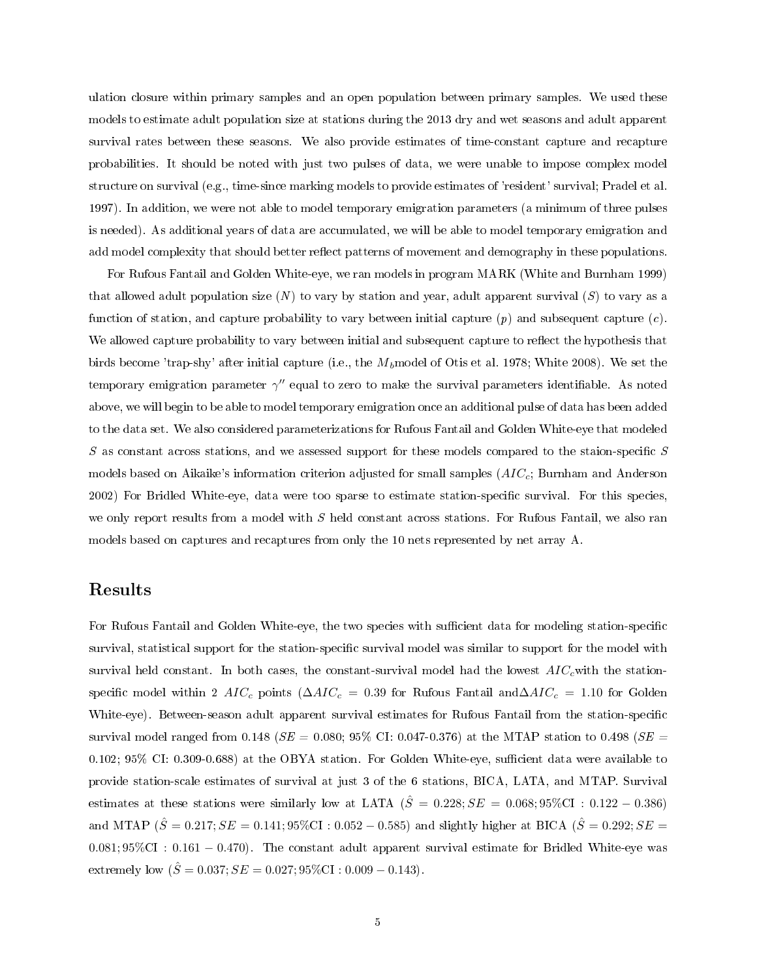ulation closure within primary samples and an open population between primary samples. We used these models to estimate adult population size at stations during the 2013 dry and wet seasons and adult apparent survival rates between these seasons. We also provide estimates of time-constant capture and recapture probabilities. It should be noted with just two pulses of data, we were unable to impose complex model structure on survival (e.g., time-since marking models to provide estimates of 'resident' survival; Pradel et al. 1997). In addition, we were not able to model temporary emigration parameters (a minimum of three pulses is needed). As additional years of data are accumulated, we will be able to model temporary emigration and add model complexity that should better reflect patterns of movement and demography in these populations.

For Rufous Fantail and Golden White-eye, we ran models in program MARK (White and Burnham 1999) that allowed adult population size  $(N)$  to vary by station and year, adult apparent survival  $(S)$  to vary as a function of station, and capture probability to vary between initial capture  $(p)$  and subsequent capture  $(c)$ . We allowed capture probability to vary between initial and subsequent capture to reflect the hypothesis that birds become 'trap-shy' after initial capture (i.e., the  $M_b$  model of Otis et al. 1978; White 2008). We set the temporary emigration parameter  $\gamma''$  equal to zero to make the survival parameters identifiable. As noted above, we will begin to be able to model temporary emigration once an additional pulse of data has been added to the data set. We also considered parameterizations for Rufous Fantail and Golden White-eye that modeled  $S$  as constant across stations, and we assessed support for these models compared to the staion-specific  $S$ models based on Aikaike's information criterion adjusted for small samples  $(AIC_c;$  Burnham and Anderson 2002) For Bridled White-eye, data were too sparse to estimate station-specific survival. For this species, we only report results from a model with S held constant across stations. For Rufous Fantail, we also ran models based on captures and recaptures from only the 10 nets represented by net array A.

## Results

For Rufous Fantail and Golden White-eye, the two species with sufficient data for modeling station-specific survival, statistical support for the station-specific survival model was similar to support for the model with survival held constant. In both cases, the constant-survival model had the lowest  $AIC_{c}$  with the stationspecific model within 2  $AIC_c$  points ( $\Delta AIC_c = 0.39$  for Rufous Fantail and $\Delta AIC_c = 1.10$  for Golden White-eye). Between-season adult apparent survival estimates for Rufous Fantail from the station-specific survival model ranged from 0.148 ( $SE = 0.080$ ; 95% CI: 0.047-0.376) at the MTAP station to 0.498 ( $SE =$  $0.102$ ;  $95\%$  CI:  $0.309$ -0.688) at the OBYA station. For Golden White-eye, sufficient data were available to provide station-scale estimates of survival at just 3 of the 6 stations, BICA, LATA, and MTAP. Survival estimates at these stations were similarly low at LATA  $(\hat{S} = 0.228; SE = 0.068; 95\% \text{CI} : 0.122 - 0.386)$ and MTAP ( $\hat{S} = 0.217$ ;  $SE = 0.141$ ;  $95\%$ CI :  $0.052 - 0.585$ ) and slightly higher at BICA ( $\hat{S} = 0.292$ ;  $SE =$ 0.081; 95%CI : 0.161 − 0.470). The constant adult apparent survival estimate for Bridled White-eye was extremely low  $(\hat{S} = 0.037; SE = 0.027; 95\% \text{CI} : 0.009 - 0.143)$ .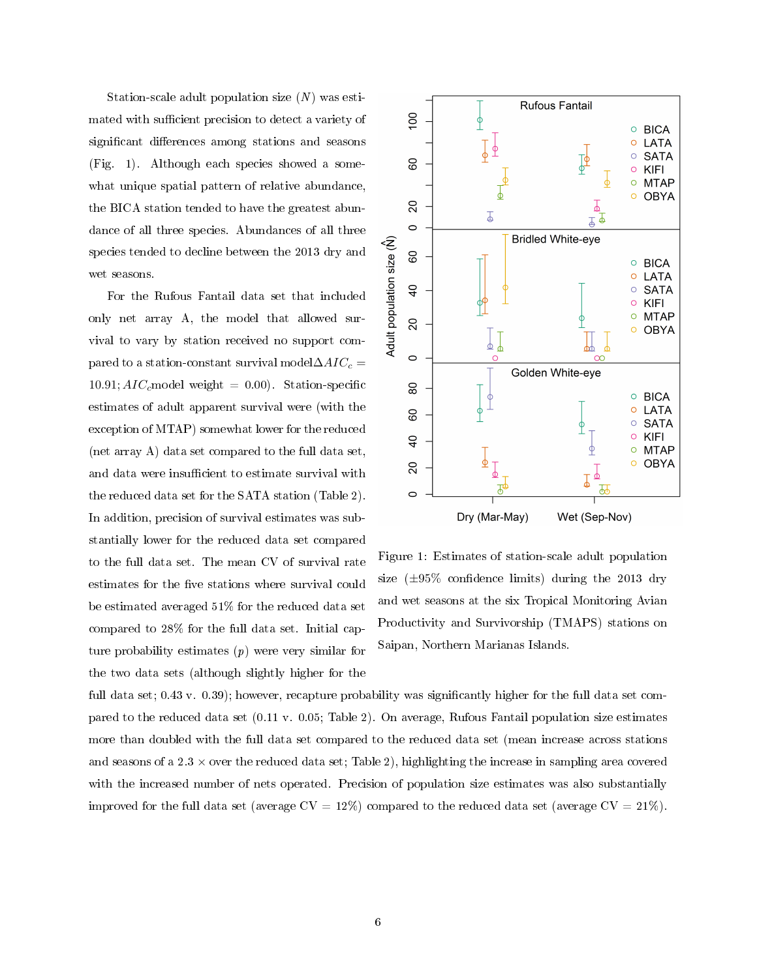Station-scale adult population size  $(N)$  was estimated with sufficient precision to detect a variety of significant differences among stations and seasons (Fig. 1). Although each species showed a somewhat unique spatial pattern of relative abundance, the BICA station tended to have the greatest abundance of all three species. Abundances of all three species tended to decline between the 2013 dry and wet seasons.

For the Rufous Fantail data set that included only net array A, the model that allowed survival to vary by station received no support compared to a station-constant survival model $\Delta AIC_c =$ 10.91;  $AIC_c$  model weight = 0.00). Station-specific estimates of adult apparent survival were (with the exception of MTAP) somewhat lower for the reduced (net array A) data set compared to the full data set, and data were insufficient to estimate survival with the reduced data set for the SATA station (Table 2). In addition, precision of survival estimates was substantially lower for the reduced data set compared to the full data set. The mean CV of survival rate estimates for the five stations where survival could be estimated averaged 51% for the reduced data set compared to 28% for the full data set. Initial capture probability estimates  $(p)$  were very similar for the two data sets (although slightly higher for the



Figure 1: Estimates of station-scale adult population size  $(\pm 95\%$  confidence limits) during the 2013 dry and wet seasons at the six Tropical Monitoring Avian Productivity and Survivorship (TMAPS) stations on Saipan, Northern Marianas Islands.

full data set; 0.43 v. 0.39); however, recapture probability was significantly higher for the full data set compared to the reduced data set (0.11 v. 0.05; Table 2). On average, Rufous Fantail population size estimates more than doubled with the full data set compared to the reduced data set (mean increase across stations and seasons of a  $2.3 \times$  over the reduced data set; Table 2), highlighting the increase in sampling area covered with the increased number of nets operated. Precision of population size estimates was also substantially improved for the full data set (average  $CV = 12\%)$  compared to the reduced data set (average  $CV = 21\%)$ .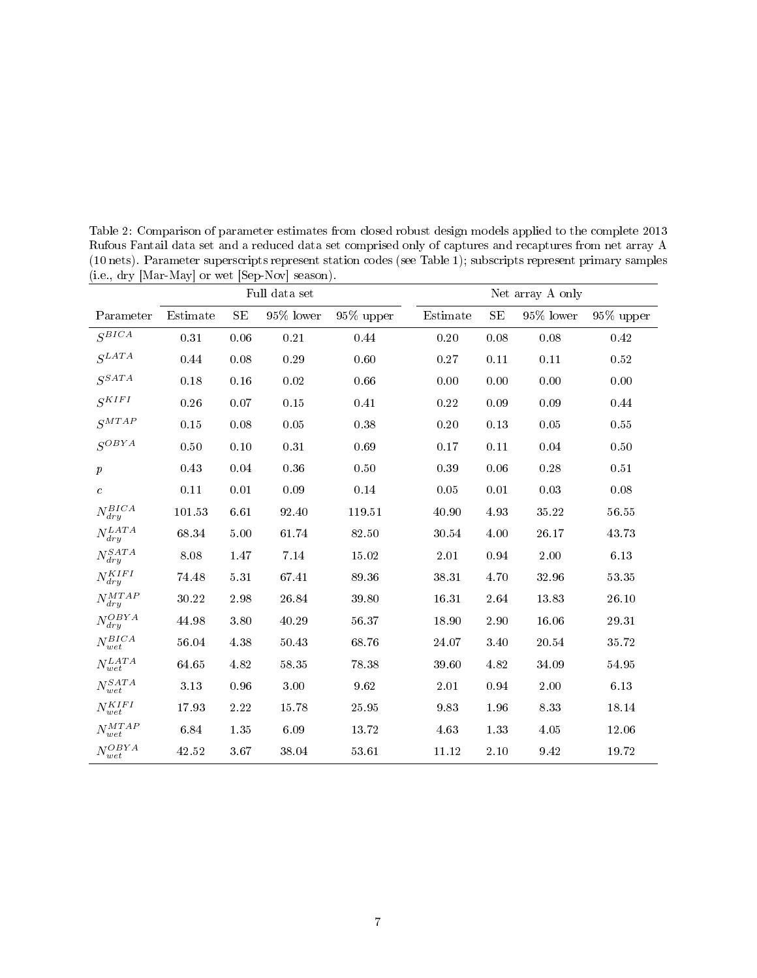|                                  | Full data set |          |           |           | Net array A only |      |              |              |
|----------------------------------|---------------|----------|-----------|-----------|------------------|------|--------------|--------------|
| Parameter                        | Estimate      | SE       | 95% lower | 95% upper | Estimate         | SE   | $95\%$ lower | $95\%$ upper |
| $S^{BICA}$                       | $0.31\,$      | 0.06     | $0.21\,$  | 0.44      | $0.20\,$         | 0.08 | 0.08         | 0.42         |
| $S^{LATA}$                       | 0.44          | 0.08     | 0.29      | 0.60      | 0.27             | 0.11 | 0.11         | 0.52         |
| $S^{SATA}$                       | 0.18          | 0.16     | 0.02      | 0.66      | 0.00             | 0.00 | 0.00         | 0.00         |
| $S^{KIFI}$                       | 0.26          | 0.07     | 0.15      | 0.41      | 0.22             | 0.09 | 0.09         | 0.44         |
| $S^{MTAP}$                       | 0.15          | 0.08     | 0.05      | 0.38      | 0.20             | 0.13 | 0.05         | $0.55\,$     |
| $S^{OBYA}$                       | 0.50          | $0.10\,$ | 0.31      | 0.69      | 0.17             | 0.11 | 0.04         | 0.50         |
| $\boldsymbol{p}$                 | 0.43          | 0.04     | 0.36      | 0.50      | 0.39             | 0.06 | 0.28         | 0.51         |
| $\mathcal{C}_{0}^{(n)}$          | 0.11          | 0.01     | 0.09      | 0.14      | 0.05             | 0.01 | 0.03         | 0.08         |
| $N_{dry}^{BICA}$                 | 101.53        | 6.61     | 92.40     | 119.51    | 40.90            | 4.93 | $35.22\,$    | $56.55\,$    |
| $N_{dry}^{LATA}$                 | 68.34         | 5.00     | 61.74     | 82.50     | 30.54            | 4.00 | 26.17        | 43 73        |
| $N_{dry}^{SATA}$                 | 8.08          | 1.47     | 7.14      | 15.02     | 2.01             | 0.94 | 2.00         | 6.13         |
| $N^{KIFI}_{A}$<br>$\frac{d}{dy}$ | 74.48         | $5.31\,$ | 67.41     | 89.36     | 38.31            | 4.70 | 32.96        | $53.35\,$    |
| $N_{dry}^{MTAP}$                 | 30.22         | 2.98     | 26.84     | 39.80     | 16.31            | 2.64 | 13.83        | 26.10        |
| $N_{dry}^{OBYA}$                 | 44.98         | 3.80     | 40.29     | 56.37     | 18.90            | 2.90 | 16.06        | 29.31        |
| $N_{wet}^{BICA}$                 | 56.04         | 4.38     | 50.43     | 68.76     | 24.07            | 3.40 | 20.54        | 35.72        |
| $N_{wet}^{LATA}$                 | 64.65         | 4.82     | 58.35     | 78.38     | 39.60            | 4.82 | 34.09        | 54.95        |
| $N_{wet}^{SATA}$                 | 3.13          | 0.96     | 3.00      | 9.62      | 2.01             | 0.94 | 2.00         | 6.13         |
| $N_{wet}^{KIFI}$                 | 17.93         | 2.22     | 15.78     | 25.95     | 9.83             | 1.96 | 8.33         | 18.14        |
| $N_{wet}^{MTAP}$                 | 6.84          | 1.35     | 6.09      | 13.72     | 4.63             | 1.33 | 4.05         | 12.06        |
| $N_{wet}^{OBYA}$                 | 42.52         | 3.67     | 38.04     | 53.61     | 11.12            | 2.10 | 9.42         | 19.72        |

Table 2: Comparison of parameter estimates from closed robust design models applied to the complete 2013 Rufous Fantail data set and a reduced data set comprised only of captures and recaptures from net array A (10 nets). Parameter superscripts represent station codes (see Table 1); subscripts represent primary samples (i.e., dry [Mar-May] or wet [Sep-Nov] season).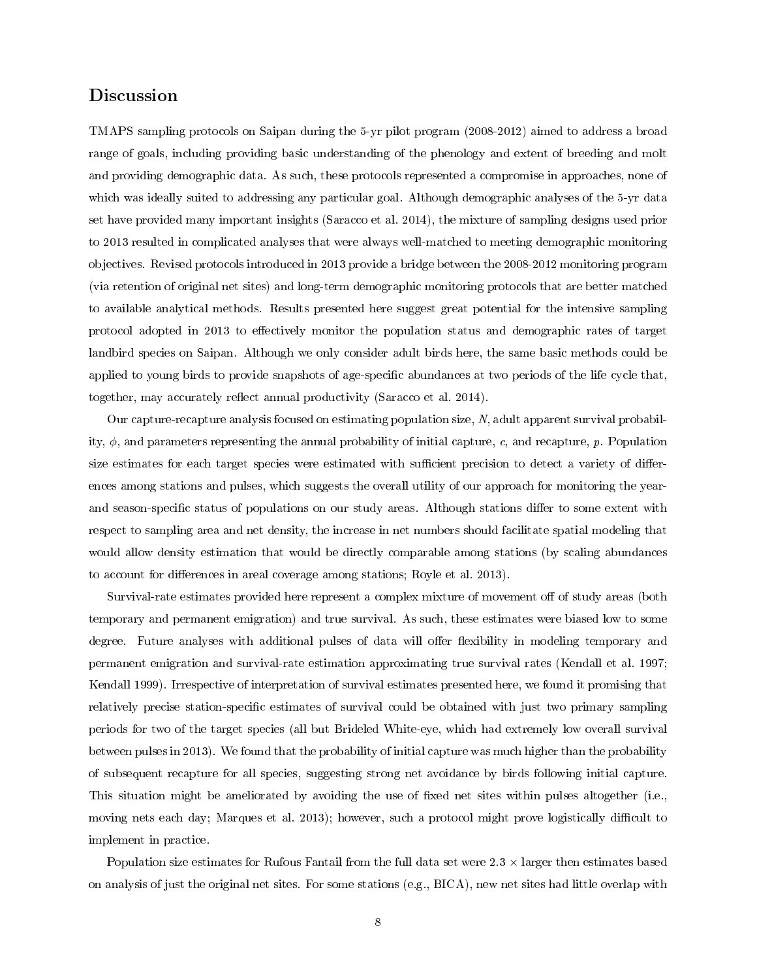# Discussion

TMAPS sampling protocols on Saipan during the 5-yr pilot program (2008-2012) aimed to address a broad range of goals, including providing basic understanding of the phenology and extent of breeding and molt and providing demographic data. As such, these protocols represented a compromise in approaches, none of which was ideally suited to addressing any particular goal. Although demographic analyses of the 5-yr data set have provided many important insights (Saracco et al. 2014), the mixture of sampling designs used prior to 2013 resulted in complicated analyses that were always well-matched to meeting demographic monitoring objectives. Revised protocols introduced in 2013 provide a bridge between the 2008-2012 monitoring program (via retention of original net sites) and long-term demographic monitoring protocols that are better matched to available analytical methods. Results presented here suggest great potential for the intensive sampling protocol adopted in 2013 to effectively monitor the population status and demographic rates of target landbird species on Saipan. Although we only consider adult birds here, the same basic methods could be applied to young birds to provide snapshots of age-specific abundances at two periods of the life cycle that, together, may accurately reflect annual productivity (Saracco et al.  $2014$ ).

Our capture-recapture analysis focused on estimating population size, N, adult apparent survival probability,  $\phi$ , and parameters representing the annual probability of initial capture, c, and recapture, p. Population size estimates for each target species were estimated with sufficient precision to detect a variety of differences among stations and pulses, which suggests the overall utility of our approach for monitoring the yearand season-specific status of populations on our study areas. Although stations differ to some extent with respect to sampling area and net density, the increase in net numbers should facilitate spatial modeling that would allow density estimation that would be directly comparable among stations (by scaling abundances to account for differences in areal coverage among stations; Royle et al. 2013).

Survival-rate estimates provided here represent a complex mixture of movement off of study areas (both temporary and permanent emigration) and true survival. As such, these estimates were biased low to some degree. Future analyses with additional pulses of data will offer flexibility in modeling temporary and permanent emigration and survival-rate estimation approximating true survival rates (Kendall et al. 1997; Kendall 1999). Irrespective of interpretation of survival estimates presented here, we found it promising that relatively precise station-specific estimates of survival could be obtained with just two primary sampling periods for two of the target species (all but Brideled White-eye, which had extremely low overall survival between pulses in 2013). We found that the probability of initial capture was much higher than the probability of subsequent recapture for all species, suggesting strong net avoidance by birds following initial capture. This situation might be ameliorated by avoiding the use of fixed net sites within pulses altogether (i.e., moving nets each day; Marques et al. 2013); however, such a protocol might prove logistically difficult to implement in practice.

Population size estimates for Rufous Fantail from the full data set were  $2.3 \times$  larger then estimates based on analysis of just the original net sites. For some stations (e.g., BICA), new net sites had little overlap with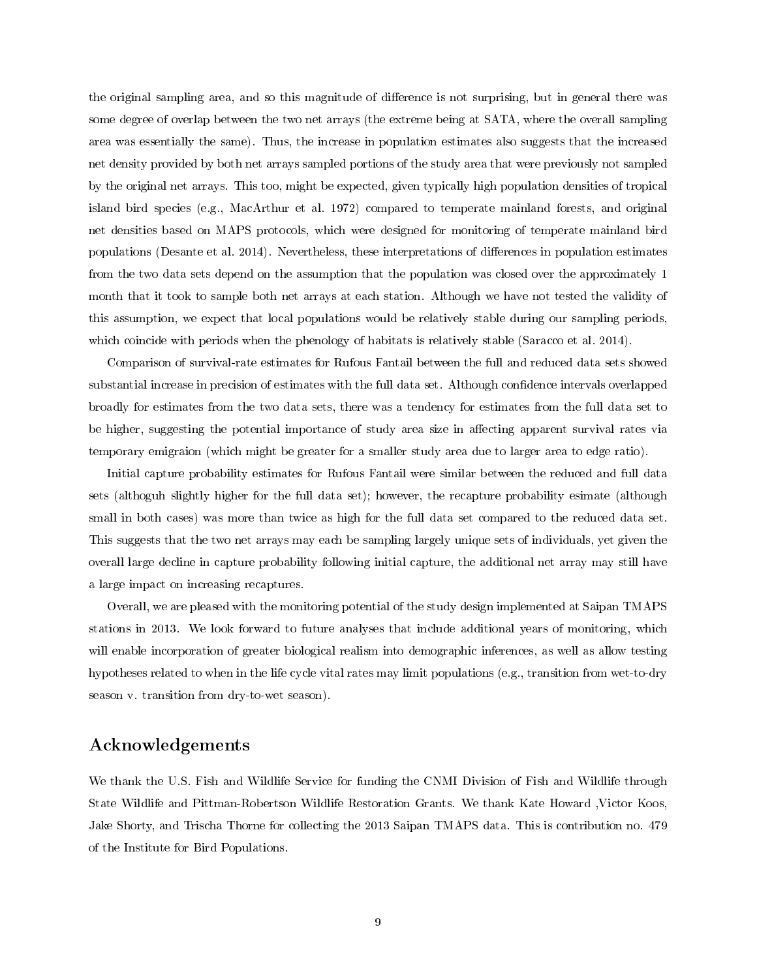the original sampling area, and so this magnitude of difference is not surprising, but in general there was some degree of overlap between the two net arrays (the extreme being at SATA, where the overall sampling area was essentially the same). Thus, the increase in population estimates also suggests that the increased net density provided by both net arrays sampled portions of the study area that were previously not sampled by the original net arrays. This too, might be expected, given typically high population densities of tropical island bird species (e.g., MacArthur et al. 1972) compared to temperate mainland forests, and original net densities based on MAPS protocols, which were designed for monitoring of temperate mainland bird populations (Desante et al. 2014). Nevertheless, these interpretations of differences in population estimates from the two data sets depend on the assumption that the population was closed over the approximately 1 month that it took to sample both net arrays at each station. Although we have not tested the validity of this assumption, we expect that local populations would be relatively stable during our sampling periods, which coincide with periods when the phenology of habitats is relatively stable (Saracco et al. 2014).

Comparison of survival-rate estimates for Rufous Fantail between the full and reduced data sets showed substantial increase in precision of estimates with the full data set. Although confidence intervals overlapped broadly for estimates from the two data sets, there was a tendency for estimates from the full data set to be higher, suggesting the potential importance of study area size in affecting apparent survival rates via temporary emigraion (which might be greater for a smaller study area due to larger area to edge ratio).

Initial capture probability estimates for Rufous Fantail were similar between the reduced and full data sets (althoguh slightly higher for the full data set); however, the recapture probability esimate (although small in both cases) was more than twice as high for the full data set compared to the reduced data set. This suggests that the two net arrays may each be sampling largely unique sets of individuals, yet given the overall large decline in capture probability following initial capture, the additional net array may still have a large impact on increasing recaptures.

Overall, we are pleased with the monitoring potential of the study design implemented at Saipan TMAPS stations in 2013. We look forward to future analyses that include additional years of monitoring, which will enable incorporation of greater biological realism into demographic inferences, as well as allow testing hypotheses related to when in the life cycle vital rates may limit populations (e.g., transition from wet-to-dry season v. transition from dry-to-wet season).

## Acknowledgements

We thank the U.S. Fish and Wildlife Service for funding the CNMI Division of Fish and Wildlife through State Wildlife and Pittman-Robertson Wildlife Restoration Grants. We thank Kate Howard ,Victor Koos, Jake Shorty, and Trischa Thorne for collecting the 2013 Saipan TMAPS data. This is contribution no. 479 of the Institute for Bird Populations.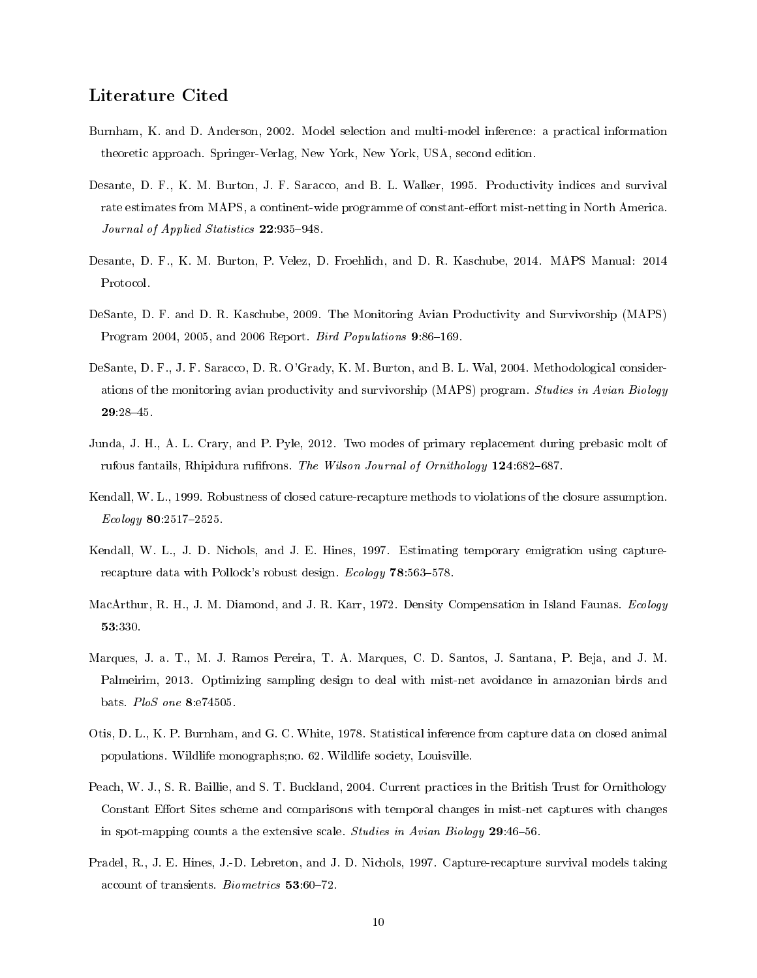## Literature Cited

- Burnham, K. and D. Anderson, 2002. Model selection and multi-model inference: a practical information theoretic approach. Springer-Verlag, New York, New York, USA, second edition.
- Desante, D. F., K. M. Burton, J. F. Saracco, and B. L. Walker, 1995. Productivity indices and survival rate estimates from MAPS, a continent-wide programme of constant-effort mist-netting in North America. Journal of Applied Statistics 22:935-948.
- Desante, D. F., K. M. Burton, P. Velez, D. Froehlich, and D. R. Kaschube, 2014. MAPS Manual: 2014 Protocol.
- DeSante, D. F. and D. R. Kaschube, 2009. The Monitoring Avian Productivity and Survivorship (MAPS) Program 2004, 2005, and 2006 Report. Bird Populations  $9.86-169$ .
- DeSante, D. F., J. F. Saracco, D. R. O'Grady, K. M. Burton, and B. L. Wal, 2004. Methodological considerations of the monitoring avian productivity and survivorship (MAPS) program. Studies in Avian Biology 29:2845.
- Junda, J. H., A. L. Crary, and P. Pyle, 2012. Two modes of primary replacement during prebasic molt of rufous fantails, Rhipidura rufifrons. The Wilson Journal of Ornithology  $124.682-687$ .
- Kendall, W. L., 1999. Robustness of closed cature-recapture methods to violations of the closure assumption.  $Ecology 80:2517-2525.$
- Kendall, W. L., J. D. Nichols, and J. E. Hines, 1997. Estimating temporary emigration using capturerecapture data with Pollock's robust design. Ecology  $78:563-578$ .
- MacArthur, R. H., J. M. Diamond, and J. R. Karr, 1972. Density Compensation in Island Faunas. Ecology 53:330.
- Marques, J. a. T., M. J. Ramos Pereira, T. A. Marques, C. D. Santos, J. Santana, P. Beja, and J. M. Palmeirim, 2013. Optimizing sampling design to deal with mist-net avoidance in amazonian birds and bats. PloS one 8:e74505.
- Otis, D. L., K. P. Burnham, and G. C. White, 1978. Statistical inference from capture data on closed animal populations. Wildlife monographs;no. 62. Wildlife society, Louisville.
- Peach, W. J., S. R. Baillie, and S. T. Buckland, 2004. Current practices in the British Trust for Ornithology Constant Effort Sites scheme and comparisons with temporal changes in mist-net captures with changes in spot-mapping counts a the extensive scale. Studies in Avian Biology 29:46-56.
- Pradel, R., J. E. Hines, J.-D. Lebreton, and J. D. Nichols, 1997. Capture-recapture survival models taking account of transients. Biometrics 53:60-72.